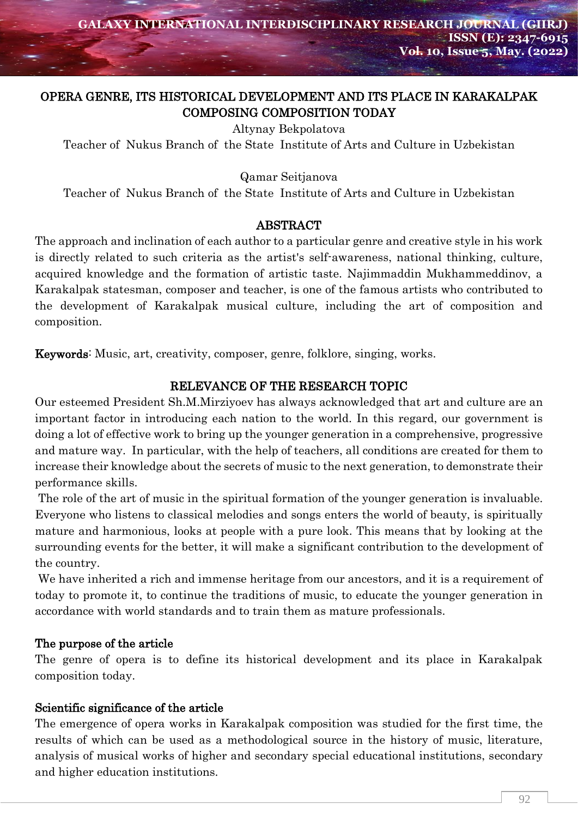# OPERA GENRE, ITS HISTORICAL DEVELOPMENT AND ITS PLACE IN KARAKALPAK COMPOSING COMPOSITION TODAY

Altynay Bekpolatova

Teacher of Nukus Branch of the State Institute of Arts and Culture in Uzbekistan

Qamar Seitjanova

Teacher of Nukus Branch of the State Institute of Arts and Culture in Uzbekistan

### ABSTRACT

The approach and inclination of each author to a particular genre and creative style in his work is directly related to such criteria as the artist's self-awareness, national thinking, culture, acquired knowledge and the formation of artistic taste. Najimmaddin Mukhammeddinov, a Karakalpak statesman, composer and teacher, is one of the famous artists who contributed to the development of Karakalpak musical culture, including the art of composition and composition.

Keywords: Music, art, creativity, composer, genre, folklore, singing, works.

### RELEVANCE OF THE RESEARCH TOPIC

Our esteemed President Sh.M.Mirziyoev has always acknowledged that art and culture are an important factor in introducing each nation to the world. In this regard, our government is doing a lot of effective work to bring up the younger generation in a comprehensive, progressive and mature way. In particular, with the help of teachers, all conditions are created for them to increase their knowledge about the secrets of music to the next generation, to demonstrate their performance skills.

The role of the art of music in the spiritual formation of the younger generation is invaluable. Everyone who listens to classical melodies and songs enters the world of beauty, is spiritually mature and harmonious, looks at people with a pure look. This means that by looking at the surrounding events for the better, it will make a significant contribution to the development of the country.

We have inherited a rich and immense heritage from our ancestors, and it is a requirement of today to promote it, to continue the traditions of music, to educate the younger generation in accordance with world standards and to train them as mature professionals.

#### The purpose of the article

The genre of opera is to define its historical development and its place in Karakalpak composition today.

## Scientific significance of the article

The emergence of opera works in Karakalpak composition was studied for the first time, the results of which can be used as a methodological source in the history of music, literature, analysis of musical works of higher and secondary special educational institutions, secondary and higher education institutions.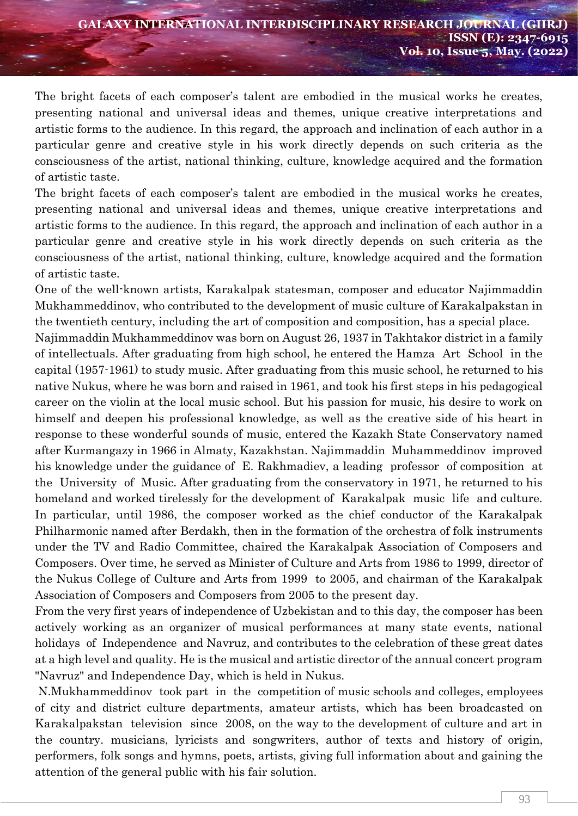The bright facets of each composer's talent are embodied in the musical works he creates, presenting national and universal ideas and themes, unique creative interpretations and artistic forms to the audience. In this regard, the approach and inclination of each author in a particular genre and creative style in his work directly depends on such criteria as the consciousness of the artist, national thinking, culture, knowledge acquired and the formation of artistic taste.

The bright facets of each composer's talent are embodied in the musical works he creates, presenting national and universal ideas and themes, unique creative interpretations and artistic forms to the audience. In this regard, the approach and inclination of each author in a particular genre and creative style in his work directly depends on such criteria as the consciousness of the artist, national thinking, culture, knowledge acquired and the formation of artistic taste.

One of the well-known artists, Karakalpak statesman, composer and educator Najimmaddin Mukhammeddinov, who contributed to the development of music culture of Karakalpakstan in the twentieth century, including the art of composition and composition, has a special place.

Najimmaddin Mukhammeddinov was born on August 26, 1937 in Takhtakor district in a family of intellectuals. After graduating from high school, he entered the Hamza Art School in the capital (1957-1961) to study music. After graduating from this music school, he returned to his native Nukus, where he was born and raised in 1961, and took his first steps in his pedagogical career on the violin at the local music school. But his passion for music, his desire to work on himself and deepen his professional knowledge, as well as the creative side of his heart in response to these wonderful sounds of music, entered the Kazakh State Conservatory named after Kurmangazy in 1966 in Almaty, Kazakhstan. Najimmaddin Muhammeddinov improved his knowledge under the guidance of E. Rakhmadiev, a leading professor of composition at the University of Music. After graduating from the conservatory in 1971, he returned to his homeland and worked tirelessly for the development of Karakalpak music life and culture. In particular, until 1986, the composer worked as the chief conductor of the Karakalpak Philharmonic named after Berdakh, then in the formation of the orchestra of folk instruments under the TV and Radio Committee, chaired the Karakalpak Association of Composers and Composers. Over time, he served as Minister of Culture and Arts from 1986 to 1999, director of the Nukus College of Culture and Arts from 1999 to 2005, and chairman of the Karakalpak Association of Composers and Composers from 2005 to the present day.

From the very first years of independence of Uzbekistan and to this day, the composer has been actively working as an organizer of musical performances at many state events, national holidays of Independence and Navruz, and contributes to the celebration of these great dates at a high level and quality. He is the musical and artistic director of the annual concert program "Navruz" and Independence Day, which is held in Nukus.

N.Mukhammeddinov took part in the competition of music schools and colleges, employees of city and district culture departments, amateur artists, which has been broadcasted on Karakalpakstan television since 2008, on the way to the development of culture and art in the country. musicians, lyricists and songwriters, author of texts and history of origin, performers, folk songs and hymns, poets, artists, giving full information about and gaining the attention of the general public with his fair solution.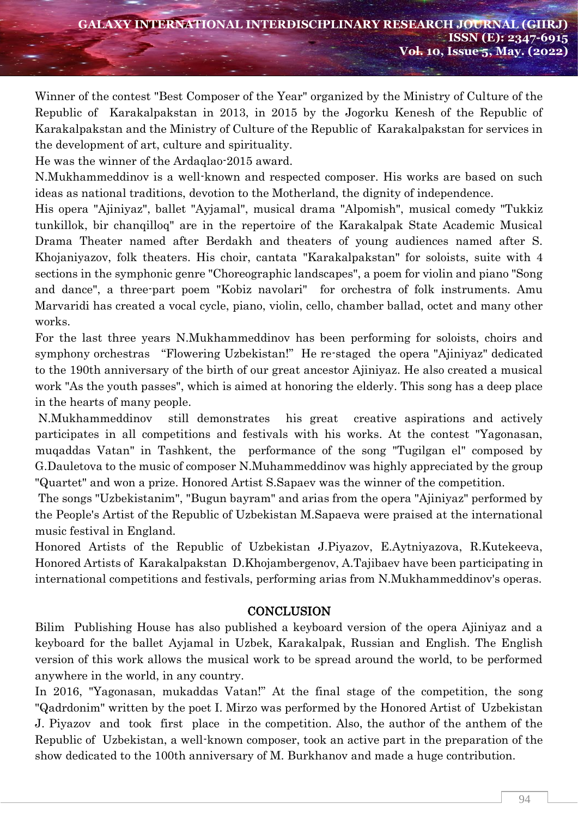Winner of the contest "Best Composer of the Year" organized by the Ministry of Culture of the Republic of Karakalpakstan in 2013, in 2015 by the Jogorku Kenesh of the Republic of Karakalpakstan and the Ministry of Culture of the Republic of Karakalpakstan for services in the development of art, culture and spirituality.

He was the winner of the Ardaqlao-2015 award.

N.Mukhammeddinov is a well-known and respected composer. His works are based on such ideas as national traditions, devotion to the Motherland, the dignity of independence.

His opera "Ajiniyaz", ballet "Ayjamal", musical drama "Alpomish", musical comedy "Tukkiz tunkillok, bir chanqilloq" are in the repertoire of the Karakalpak State Academic Musical Drama Theater named after Berdakh and theaters of young audiences named after S. Khojaniyazov, folk theaters. His choir, cantata "Karakalpakstan" for soloists, suite with 4 sections in the symphonic genre "Choreographic landscapes", a poem for violin and piano "Song and dance", a three-part poem "Kobiz navolari" for orchestra of folk instruments. Amu Marvaridi has created a vocal cycle, piano, violin, cello, chamber ballad, octet and many other works.

For the last three years N.Mukhammeddinov has been performing for soloists, choirs and symphony orchestras "Flowering Uzbekistan!" He re-staged the opera "Ajiniyaz" dedicated to the 190th anniversary of the birth of our great ancestor Ajiniyaz. He also created a musical work "As the youth passes", which is aimed at honoring the elderly. This song has a deep place in the hearts of many people.

N.Mukhammeddinov still demonstrates his great creative aspirations and actively participates in all competitions and festivals with his works. At the contest "Yagonasan, muqaddas Vatan" in Tashkent, the performance of the song "Tugilgan el" composed by G.Dauletova to the music of composer N.Muhammeddinov was highly appreciated by the group "Quartet" and won a prize. Honored Artist S.Sapaev was the winner of the competition.

The songs "Uzbekistanim", "Bugun bayram" and arias from the opera "Ajiniyaz" performed by the People's Artist of the Republic of Uzbekistan M.Sapaeva were praised at the international music festival in England.

Honored Artists of the Republic of Uzbekistan J.Piyazov, E.Aytniyazova, R.Kutekeeva, Honored Artists of Karakalpakstan D.Khojambergenov, A.Tajibaev have been participating in international competitions and festivals, performing arias from N.Mukhammeddinov's operas.

## **CONCLUSION**

Bilim Publishing House has also published a keyboard version of the opera Ajiniyaz and a keyboard for the ballet Ayjamal in Uzbek, Karakalpak, Russian and English. The English version of this work allows the musical work to be spread around the world, to be performed anywhere in the world, in any country.

In 2016, "Yagonasan, mukaddas Vatan!" At the final stage of the competition, the song "Qadrdonim" written by the poet I. Mirzo was performed by the Honored Artist of Uzbekistan J. Piyazov and took first place in the competition. Also, the author of the anthem of the Republic of Uzbekistan, a well-known composer, took an active part in the preparation of the show dedicated to the 100th anniversary of M. Burkhanov and made a huge contribution.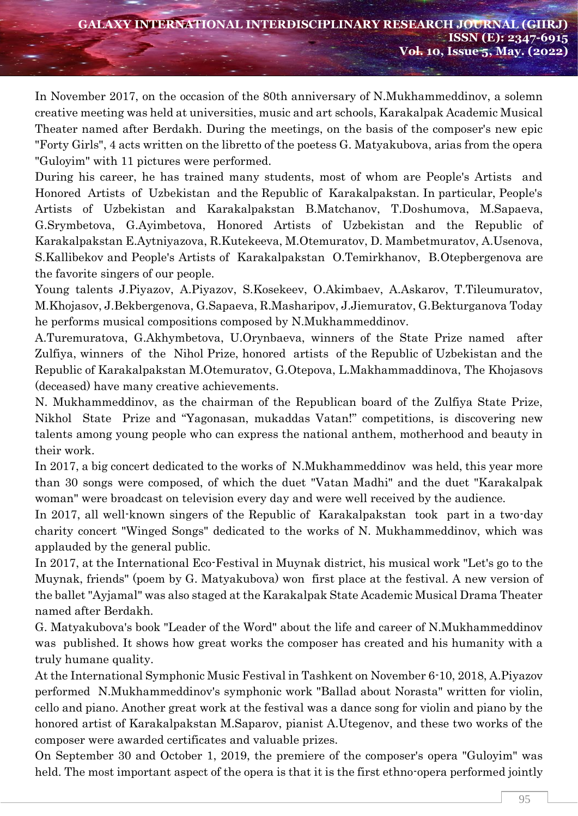In November 2017, on the occasion of the 80th anniversary of N.Mukhammeddinov, a solemn creative meeting was held at universities, music and art schools, Karakalpak Academic Musical Theater named after Berdakh. During the meetings, on the basis of the composer's new epic "Forty Girls", 4 acts written on the libretto of the poetess G. Matyakubova, arias from the opera "Guloyim" with 11 pictures were performed.

During his career, he has trained many students, most of whom are People's Artists and Honored Artists of Uzbekistan and the Republic of Karakalpakstan. In particular, People's Artists of Uzbekistan and Karakalpakstan B.Matchanov, T.Doshumova, M.Sapaeva, G.Srymbetova, G.Ayimbetova, Honored Artists of Uzbekistan and the Republic of Karakalpakstan E.Aytniyazova, R.Kutekeeva, M.Otemuratov, D. Mambetmuratov, A.Usenova, S.Kallibekov and People's Artists of Karakalpakstan O.Temirkhanov, B.Otepbergenova are the favorite singers of our people.

Young talents J.Piyazov, A.Piyazov, S.Kosekeev, O.Akimbaev, A.Askarov, T.Tileumuratov, M.Khojasov, J.Bekbergenova, G.Sapaeva, R.Masharipov, J.Jiemuratov, G.Bekturganova Today he performs musical compositions composed by N.Mukhammeddinov.

A.Turemuratova, G.Akhymbetova, U.Orynbaeva, winners of the State Prize named after Zulfiya, winners of the Nihol Prize, honored artists of the Republic of Uzbekistan and the Republic of Karakalpakstan M.Otemuratov, G.Otepova, L.Makhammaddinova, The Khojasovs (deceased) have many creative achievements.

N. Mukhammeddinov, as the chairman of the Republican board of the Zulfiya State Prize, Nikhol State Prize and "Yagonasan, mukaddas Vatan!" competitions, is discovering new talents among young people who can express the national anthem, motherhood and beauty in their work.

In 2017, a big concert dedicated to the works of N.Mukhammeddinov was held, this year more than 30 songs were composed, of which the duet "Vatan Madhi" and the duet "Karakalpak woman" were broadcast on television every day and were well received by the audience.

In 2017, all well-known singers of the Republic of Karakalpakstan took part in a two-day charity concert "Winged Songs" dedicated to the works of N. Mukhammeddinov, which was applauded by the general public.

In 2017, at the International Eco-Festival in Muynak district, his musical work "Let's go to the Muynak, friends" (poem by G. Matyakubova) won first place at the festival. A new version of the ballet "Ayjamal" was also staged at the Karakalpak State Academic Musical Drama Theater named after Berdakh.

G. Matyakubova's book "Leader of the Word" about the life and career of N.Mukhammeddinov was published. It shows how great works the composer has created and his humanity with a truly humane quality.

At the International Symphonic Music Festival in Tashkent on November 6-10, 2018, A.Piyazov performed N.Mukhammeddinov's symphonic work "Ballad about Norasta" written for violin, cello and piano. Another great work at the festival was a dance song for violin and piano by the honored artist of Karakalpakstan M.Saparov, pianist A.Utegenov, and these two works of the composer were awarded certificates and valuable prizes.

On September 30 and October 1, 2019, the premiere of the composer's opera "Guloyim" was held. The most important aspect of the opera is that it is the first ethno-opera performed jointly